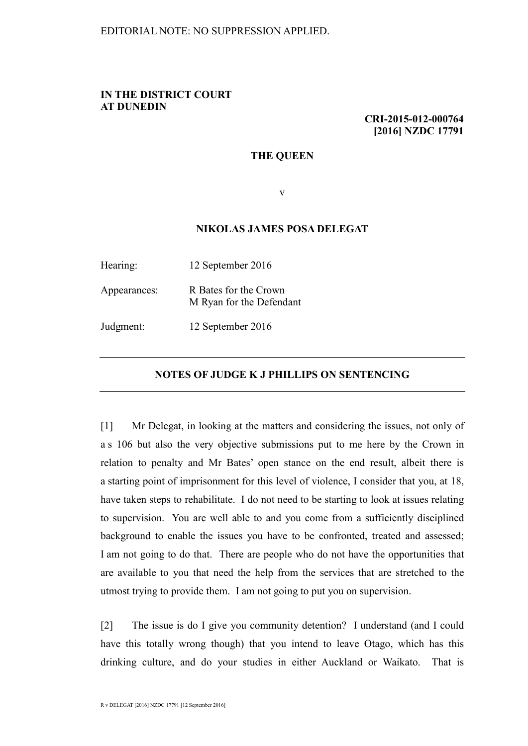## **IN THE DISTRICT COURT AT DUNEDIN**

**CRI-2015-012-000764 [2016] NZDC 17791**

## **THE QUEEN**

v

## **NIKOLAS JAMES POSA DELEGAT**

| Hearing:     | 12 September 2016                                 |
|--------------|---------------------------------------------------|
| Appearances: | R Bates for the Crown<br>M Ryan for the Defendant |
| Judgment:    | 12 September 2016                                 |

## **NOTES OF JUDGE K J PHILLIPS ON SENTENCING**

[1] Mr Delegat, in looking at the matters and considering the issues, not only of a s 106 but also the very objective submissions put to me here by the Crown in relation to penalty and Mr Bates' open stance on the end result, albeit there is a starting point of imprisonment for this level of violence, I consider that you, at 18, have taken steps to rehabilitate. I do not need to be starting to look at issues relating to supervision. You are well able to and you come from a sufficiently disciplined background to enable the issues you have to be confronted, treated and assessed; I am not going to do that. There are people who do not have the opportunities that are available to you that need the help from the services that are stretched to the utmost trying to provide them. I am not going to put you on supervision.

[2] The issue is do I give you community detention? I understand (and I could have this totally wrong though) that you intend to leave Otago, which has this drinking culture, and do your studies in either Auckland or Waikato. That is